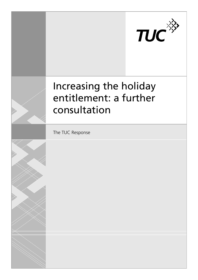

# Increasing the holiday entitlement: a further consultation

The TUC Response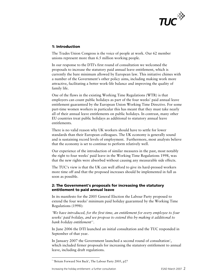

# **1: Introduction**

The Trades Union Congress is the voice of people at work. Our 62 member unions represent more than 6.5 million working people.

In our response to the DTI's first round of consultation we welcomed the proposals to increase the statutory paid annual leave entitlement, which is currently the bare minimum allowed by European law. This initiative chimes with a number of the Government's other policy aims, including making work more attractive, facilitating a better work-life balance and improving the quality of family life.

One of the flaws in the existing Working Time Regulations (WTR) is that employers can count public holidays as part of the four weeks' paid annual leave entitlement guaranteed by the European Union Working Time Directive. For some part-time women workers in particular this has meant that they must take nearly all of their annual leave entitlements on public holidays. In contrast, many other EU countries treat public holidays as additional to statutory annual leave entitlements.

There is no valid reason why UK workers should have to settle for lower standards than their European colleagues. The UK economy is generally sound and is sustaining record levels of employment. Furthermore, most analysts believe that the economy is set to continue to perform relatively well.

Our experience of the introduction of similar measures in the past, most notably the right to four weeks' paid leave in the Working Time Regulations 1998, was that the new rights were absorbed without causing any measurable side effects.

The TUC's view is that the UK can well afford to give its hard-pressed workers more time off and that the proposed increases should be implemented in full as soon as possible.

## **2: The Government's proposals for increasing the statutory entitlement to paid annual leave**

In its manifesto for the 2005 General Election the Labour Party proposed to extend the four weeks' minimum paid holiday guaranteed by the Working Time Regulations (1998):

*'We have introduced, for the first time, an entitlement for every employee to four weeks' paid holiday, and we propose to extend this by making it additional to bank holiday entitlement'[1](#page-1-0) .* 

In June 2006 the DTI launched an initial consultation and the TUC responded in September of that year.

<span id="page-1-1"></span>In January [2](#page-1-1)007 the Government launched a second round of consultation<sup>2</sup>, which included firmer proposals for increasing the statutory entitlement to annual leave, including draft regulations.

<u>.</u>

<span id="page-1-0"></span><sup>&</sup>lt;sup>1</sup> 'Britain Forward Not Back', The Labour Party 2005, p27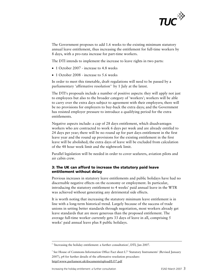

The Government proposes to add 1.6 weeks to the existing minimum statutory annual leave entitlement, thus increasing the entitlement for full-time workers by 8 days, with a pro-rata increase for part-time workers.

The DTI intends to implement the increase to leave rights in two parts:

- 1 October 2007 increase to 4.8 weeks
- 1 October 2008 increase to 5.6 weeks

In order to meet this timetable, draft regulations will need to be passed by a parliamentary 'affirmative resolution'[3](#page-2-0) by 1 July at the latest.

The DTI's proposals include a number of positive aspects: they will apply not just to employees but also to the broader category of 'workers'; workers will be able to carry over the extra days subject to agreement with their employers; there will be no provisions for employers to buy-back the extra days; and the Government has resisted employer pressure to introduce a qualifying period for the extra entitlements.

Negative aspects include: a cap of 28 days entitlement, which disadvantages workers who are contracted to work 6 days per week and are already entitled to 24 days per year; there will be no round up for part days entitlement in the first leave year and the round up provisions for the existing entitlement in the first leave will be abolished; the extra days of leave will be excluded from calculation of the 48 hour week limit and the nightwork limit.

Parallel legislation will be needed in order to cover seafarers, aviation pilots and air cabin crew.

# **3: The UK can afford to increase the statutory paid leave entitlement without delay**

Previous increases in statutory leave entitlements and public holidays have had no discernable negative effects on the economy or employment. In particular, introducing the statutory entitlement to 4 weeks' paid annual leave in the WTR was achieved without generating any detrimental side effects.

It is worth noting that increasing the statutory minimum leave entitlement is in line with a long-term historical trend. Largely because of the success of trade unions in setting better standards through negotiation, most workers already get leave standards that are more generous than the proposed entitlement. The average full-time worker currently gets 33 days of leave in all, comprising 5 weeks' paid annual leave plus 8 public holidays.

<sup>&</sup>lt;sup>2</sup> 'Increasing the holiday entitlement: a further consultation', DTI, Jan 2007.

<span id="page-2-0"></span><sup>&</sup>lt;sup>3</sup> See House of Commons Information Office Fact sheet L7 'Statutory Instruments' (Revised January 2007), p4 for further details of the affirmative resolution procedure: http//:www.parliament.uk/documents/upload/LO7.pdf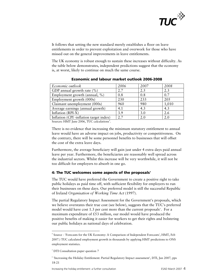

It follows that setting the new standard merely establishes a floor on leave entitlements in order to prevent exploitation and overwork for those who have missed out on the general improvements in leave entitlements.

The UK economy is robust enough to sustain these increases without difficulty. As the table below demonstrates, independent predictions suggest that the economy is, at worst, likely to continue on much the same course.

| Economic outlook                        | 2006 | 2007 | 2008  |
|-----------------------------------------|------|------|-------|
| GDP annual growth rate $(\% )$          | 2.7  | 2.5  | 2.3   |
| Employment growth (annual, %)           | 0.8  | 0.8  | 0.7   |
| Employment growth (000s)                | 230  | 233  | 205   |
| Claimant unemployment (000s)            | 960  | 980  | 1,010 |
| Average earnings (annual growth)        | 4.1  | 4.3  | 4.3   |
| Inflation (RPI-X)                       | 3.9  | 3.0  | 2.6   |
| Inflation (CPI -inflation target index) | 2.7  | 2.0  | 2.0   |

#### **Economic and labour market outlook 2006-2008**

Sources: HMT June 2006, TUC calculations<sup>[4](#page-3-0)</sup>.

There is no evidence that increasing the minimum statutory entitlement to annual leave would have an adverse impact on jobs, productivity or competitiveness. On the contrary, there will be some personnel benefits to businesses that will offset the cost of the extra leave days.

Furthermore, the average beneficiary will gain just under 4 extra days paid annual leave per year. Furthermore, the beneficiaries are reasonably well spread across the industrial sectors. Whilst this increase will be very worthwhile, it will not be too difficult for employers to absorb in one go.

## **4: The TUC welcomes some aspects of the proposals[5](#page-3-1)**

The TUC would have preferred the Government to create a positive right to take public holidays as paid time off, with sufficient flexibility for employers to run their businesses on these days. Our preferred model is still the successful Republic of Ireland *Organisation of Working Time Act* (1997).

The partial Regulatory Impact Assessment for the Government's proposals, which we believe overstates their true cost (see below), suggests that the TUC's preferred model would have cost 1.3 per cent more than the current proposals<sup>[6](#page-3-2)</sup>. For a maximum expenditure of £53 million, our model would have produced the positive benefits of making it easier for workers to get their rights and bolstering our public holidays as national days of celebration.

<span id="page-3-0"></span><sup>4</sup> Source - 'Forecasts for the UK Economy: A Comparison of Independent Forecasts', HMT, Feb 2007.) TUC calculated employment growth in thousands by applying HMT predictions to ONS employment statistics.

<sup>&</sup>lt;sup>5</sup> DTI Consultation paper question 7

<span id="page-3-2"></span><span id="page-3-1"></span><sup>6</sup> 'Increasing the Holiday Entitlement: Partial Regulatory Impact assessment', DTI, Jan 2007, pps 18-21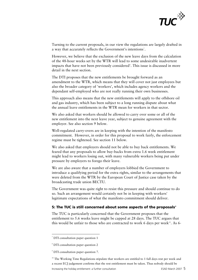

Turning to the current proposals, in our view the regulations are largely drafted in a way that accurately reflects the Government's intentions<sup>[7](#page-4-0)</sup>.

However, we believe that the exclusion of the new leave days from the calculation of the 48-hour weeks set by the WTR will lead to some undesirable inadvertent impacts that have not been previously considered<sup>[8](#page-4-1)</sup>. This issue is discussed in more detail in the next section.

The DTI proposes that the new entitlements be brought forward as an amendment to the WTR, which means that they will cover not just employees but also the broader category of 'workers', which includes agency workers and the dependant self-employed who are not really running their own businesses.

This approach also means that the new entitlements will apply to the offshore oil and gas industry, which has been subject to a long running dispute about what the annual leave entitlements in the WTR mean for workers in that sector.

We also asked that workers should be allowed to carry over some or all of the new entitlement into the next leave year, subject to genuine agreement with the employer. See also section 9 below.

Well-regulated carry-overs are in keeping with the intention of the manifesto commitment. However, in order for this proposal to work fairly, the enforcement regime must be tightened. See section 11 below.

We also asked that employers should not be able to buy back entitlements. We feared that any proposals to allow buy-backs from extra 1.6 week entitlement might lead to workers losing out, with many vulnerable workers being put under pressure by employers to forego their leave.

We are also aware that a number of employers lobbied the Government to introduce a qualifying period for the extra rights, similar to the arrangements that were deleted from the WTR by the European Court of Justice case taken by the broadcasting trade union BECTU.

The Government was quite right to resist this pressure and should continue to do so. Such an arrangement would certainly not be in keeping with workers' legitimate expectations of what the manifesto commitment should deliver.

#### **5: The TUC is still concerned about some aspects of the proposals<sup>®</sup>**

The TUC is particularly concerned that the Government proposes that the entitlement to 5.6 weeks leave might be capped at 28 days. The TUC argues that this would be unfair to those who are contracted to work 6 days per week $10$ . As 6-

<span id="page-4-0"></span><sup>7</sup> DTI consultation paper question 1

<span id="page-4-1"></span><sup>8</sup> DTI consultation paper question 2

<span id="page-4-2"></span><sup>9</sup> DTI consultation paper question 7.

<span id="page-4-3"></span>Increasing the holiday entitlement: a further consultation ESAD March 2007 5 <sup>10</sup> The Working Time Regulations stipulate that workers are entitled to 1 full days rest per week and a recent ECJ judgement confirms that the rest entitlement must be taken. Thus nobody should be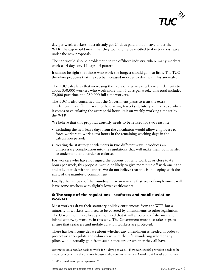

day per week workers must already get 24 days paid annual leave under the WTR, the cap would mean that they would only be entitled to 4 extra days leave under the new proposals.

The cap would also be problematic in the offshore industry, where many workers work a 14 days on/ 14 days off pattern.

It cannot be right that those who work the longest should gain so little. The TUC therefore proposes that the cap be increased in order to deal with this anomaly.

The TUC calculates that increasing the cap would give extra leave entitlements to about 350,000 workers who work more than 5 days per week. This total includes 70,000 part-time and 280,000 full-time workers.

The TUC is also concerned that the Government plans to treat the extra entitlement in a different way to the existing 4 weeks statutory annual leave when it comes to calculating the average 48 hour limit on weekly working time set by the WTR.

We believe that this proposal urgently needs to be revised for two reasons:

- excluding the new leave days from the calculation would allow employers to force workers to work extra hours in the remaining working days in the calculation period;
- treating the statutory entitlements in two different ways introduces an unnecessary complication into the regulations that will make them both harder to understand and harder to enforce.

For workers who have not signed the opt-out but who work at or close to 48 hours per week, this proposal would be likely to give more time off with one hand and take it back with the other. We do not believe that this is in keeping with the spirit of the manifesto commitment $\mathfrak{m}$ .

Finally, the removal of the round-up provision in the first year of employment will leave some workers with slightly lower entitlements.

## **6: The scope of the regulations - seafarers and mobile aviation workers**

Most workers draw their statutory holiday entitlements from the WTR but a minority of workers will need to be covered by amendments to other legislation. The Government has already announced that it will protect sea fishermen and inland waterway workers in this way. The Government must also take steps to ensure that seafarers and mobile aviation workers are protected.

There has been some debate about whether any amendment is needed in order to protect aviation pilots and cabin crew, with the DfT wondering whether any pilots would actually gain from such a measure or whether they all have

contracted on a regular basis to work for 7 days per week. However, special provision needs to be made for workers in the offshore industry who commonly work a 2 weeks on/ 2 weeks off pattern.

<span id="page-5-0"></span> $11$  DTI consultation paper question 2.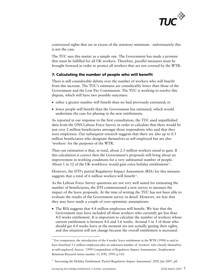

contractual rights that are in excess of the statutory minimum - unfortunately this is not the case.

The TUC sees this matter as a simple one. The Government has made a promise that must be fulfilled for all UK workers. Therefore, parallel measures must be brought forward in order to protect all workers that are not covered by the WTR.

# **7: Calculating the number of people who will benefit**

There is still considerable debate over the number of workers who will benefit from this increase. The TUC's estimates are considerably lower than those of the Government and the Low Pay Commission. The TUC is working to resolve this dispute, which will have two possible outcomes:

- either a greater number will benefit than we had previously estimated; or
- fewer people will benefit than the Government has estimated, which would undermine the case for phasing in the new entitlements.

As reported in our response to the first consultation, the TUC used unpublished data from the ONS Labour Force Survey in order to calculate that there would be just over 2 million beneficiaries amongst those respondents who said that they were employees. Our subsequent research suggests that there are also up to 0.5 million beneficiaries who designate themselves as self-employed but are also 'workers' for the purposes of the WTR.

Thus our estimation is that, in total, about 2.5 million workers stand to gain. If this calculation is correct then the Government's proposals will bring about an improvement in working conditions for a very substantial number of people. About 1 in [12](#page-6-0) of the UK workforce would gain extra holiday entitlements<sup>12</sup>.

However, the DTI's partial Regulatory Impact Assessment (RIA) for this measure suggests that a total of 6 million workers will benefit $^{\text{13}}$  $^{\text{13}}$  $^{\text{13}}$ .

As the Labour Force Survey questions are not very well suited for estimating the number of beneficiaries, the DTI commissioned a new survey to measure the impact of the leave proposals. At the time of writing the TUC has not been able to evaluate the results of the Government survey in detail. However, we fear that they may have made a couple of over-optimistic assumptions:

• The RIA suggests that 4.4 million employees will benefit. We fear that the Government may have included all those workers who currently get less than 4.0 weeks entitlement. It is important to calculate the number of workers whose current entitlement is between 4.0 and 5.6 weeks. Around 1 in 3 of those who should get 4.0 weeks leave at the moment are not actually getting their rights, and this situation will not change because the overall entitlement is increased.

<span id="page-6-0"></span> $12$  For comparison, the introduction of the 4 weeks' leave entitlement in the WTR (1998) is said to have benefited 3.1 million employees plus an unknown number of 'workers' who classify themselves as self-employed. Source: '1999 Compendium of Regulatory Impact Assessments', Employment Relations Research Series number 53, DTI, 1999, p.110.

<span id="page-6-1"></span><sup>&</sup>lt;sup>13</sup> 'Increasing the Holiday Entitlement: Partial Regulatory Impact Assessment', DTI, Jan 2007, p8.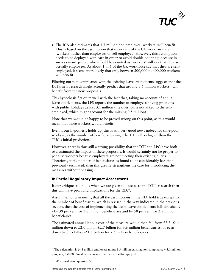

• The RIA also estimates that 1.5 million non-employee 'workers' will benefit. This is based on the assumption that 6 per cent of the UK workforce are 'workers' rather than employees or self-employed. However, this assumption needs to be deployed with care in order to avoid double-counting, because in surveys many people who should be counted as 'workers' will say that they are actually employees. As about 1 in 6 of the UK workforce say that they are selfemployed, it seems more likely that only between 300,000 to 600,000 workers will benefit.

Filtering out non-compliance with the existing leave entitlements suggests that the DTI's new research might actually predict that around  $3.6$  million workers<sup>[14](#page-7-0)</sup> will benefit from the new proposals.

This hypothesis fits quite well with the fact that, taking no account of annual leave entitlements, the LFS reports the number of employees having problems with public holidays as just 3.1 million (the question is not asked to the selfemployed, which might account for the missing 0.5 million).

Note that we would be happy to be proved wrong on this point, as this would mean that more workers would benefit.

Even if our hypothesis holds up, this is still very good news indeed for time-poor workers, as the number of beneficiaries might be 1.1 million higher than the TUC's initial prediction.

However, there is thus still a strong possibility that the DTI and LPC have both overestimated the impact of these proposals. It would certainly not be proper to penalise workers because employers are not meeting their existing duties. Therefore, if the number of beneficiaries is found to be considerably less than previously estimated, then this greatly strengthens the case for introducing the measures without phasing.

## **8: Partial Regulatory Impact Assessment**

If our critique still holds when we are given full access to the DTI's research then this will have profound implications for the  $RIA^{15}$  $RIA^{15}$  $RIA^{15}$ .

Assuming, for a moment, that all the assumptions in the RIA hold true except for the number of beneficiaries, which is revised in the way indicated in the previous section, then the cost of implementing the extra leave entitlements falls drastically - by 39 per cent for 3.6 million beneficiaries and by 58 per cent for 2.5 million beneficiaries.

The estimated annual labour cost of the measure would then fall from £3.3- £4.4 million down to  $\text{\pounds}2.0$  billion- $\text{\pounds}2.7$  billion for 3.6 million beneficiaries, or even down to £1.5 billion-£1.8 billion for 2.5 million beneficiaries.

<span id="page-7-0"></span><sup>&</sup>lt;sup>14</sup> The calculation is (4.4 million employees minus 1.3 million existing non-compliance = 3.1 million) plus, say, 550,000 'workers' who say that they are self-employed.

<span id="page-7-1"></span><sup>&</sup>lt;sup>15</sup> DTI consultation question 3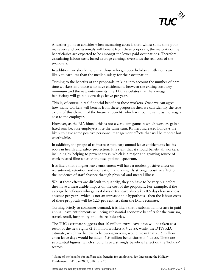

A further point to consider when measuring costs is that, whilst some time-poor managers and professionals will benefit from these proposals, the majority of the beneficiaries are expected to be amongst the lower paid occupations. Therefore, calculating labour costs based average earnings overstates the real cost of the proposals.

In addition, we should note that those who get poor holiday entitlements are likely to earn less than the median salary for their occupation.

Turning to the benefits of the proposals, talking into account the number of part time workers and those who have entitlements between the exiting statutory minimum and the new entitlements, the TUC calculates that the average beneficiary will gain 4 extra days leave per year.

This is, of course, a real financial benefit to these workers. Once we can agree how many workers will benefit from these proposals then we can identify the true extent of this element of the financial benefit, which will be the same as the wages cost to the employer.

However, as the RIA hints<sup>[16](#page-8-0)</sup>, this is not a zero-sum game in which workers gain a fixed sum because employers lose the same sum. Rather, increased holidays are likely to have some positive personnel management effects that will be modest but worthwhile.

In addition, the proposal to increase statutory annual leave entitlements has its roots in health and safety protection. It is right that it should benefit all workers, including by helping to prevent stress, which is a major and growing source of work-related illness across the occupational spectrum.

It is likely that a higher leave entitlement will have a modest positive effect on recruitment, retention and motivation, and a slightly stronger positive effect on the incidence of staff absence through physical and mental illness.

Whilst these effects are difficult to quantify, they do have to be very big before they have a measurable impact on the cost of the proposals. For example, if the average beneficiary who gains 4 days extra leave also takes 0.5 days less sickness absence per year - which is not an unreasonable hypothesis - then the labour costs of these proposals will be 12.5 per cent less than the DTI's estimate.

Turning briefly to consumer demand, it is likely that a substantial increase in paid annual leave entitlements will bring substantial economic benefits for the tourism, travel, retail, hospitality and leisure industries.

The TUC's estimate suggests that 10 million extra leave days will be taken as a result of the new rights (2.5 million workers x 4 days), whilst the DTI's RIA estimate, which we believe to be over-generous, would mean that 23.5 million extra leave days would be taken (5.9 million beneficiaries x 4 days). These are substantial figures, which should have a strongly beneficial effect on the 'holiday' sectors.

<span id="page-8-0"></span><sup>&</sup>lt;sup>16</sup> Some of the benefits for staff are also benefits for employers. See 'Increasing the Holiday Entitlement', DTI, Jan 2007, p10, para 20.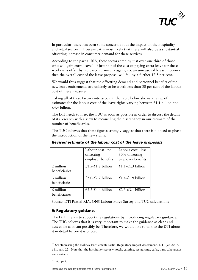

In particular, there has been some concern about the impact on the hospitality and retail sectors<sup>[17](#page-9-0)</sup>. However, it is most likely that there will also be a substantial offsetting increase in consumer demand for these services.

According to the partial RIA, these sectors employ just over one third of those who will gain extra leave<sup>[18](#page-9-1)</sup>. If just half of the cost of paying extra leave for these workers is offset by increased turnover - again, not an unreasonable assumption then the overall cost of the leave proposal will fall by a further 17.5 per cent.

We would thus suggest that the offsetting demand and personnel benefits of the new leave entitlements are unlikely to be worth less than 30 per cent of the labour cost of these measures.

Taking all of these factors into account, the table below shows a range of estimates for the labour cost of the leave rights varying between £1.1 billion and £4.4 billion.

The DTI needs to meet the TUC as soon as possible in order to discuss the details of its research with a view to reconciling the discrepancy in our estimate of the number of beneficiaries.

The TUC believes that these figures strongly suggest that there is no need to phase the introduction of the new rights.

|                            | Labour cost - no<br>offsetting<br>employer benefits | Labour cost - less<br>30% offsetting<br>employer benefits |
|----------------------------|-----------------------------------------------------|-----------------------------------------------------------|
| 2 million<br>beneficiaries | £1.5-£1.8 billion                                   | £1.1-£1.3 billion                                         |
| 3 million<br>beneficiaries | £2.0-£2.7 billion                                   | £1.4-£1.9 billion                                         |
| 6 million<br>beneficiaries | £3.3-£4.4 billion                                   | £2.3-£3.1 billion                                         |

# *Revised estimate of the labour cost of the leave proposals*

Source: DTI Partial RIA, ONS Labour Force Survey and TUC calculations

## **9: Regulatory guidance**

The DTI intends to support the regulations by introducing regulatory guidance. The TUC believes that it is very important to make the guidance as clear and accessible as it can possibly be. Therefore, we would like to talk to the DTI about it in detail before it is piloted.

<span id="page-9-0"></span><sup>&</sup>lt;sup>17</sup> See 'Increasing the Holiday Entitlement: Partial Regulatory Impact Assessment', DTI, Jan 2007, p11, para 22. Note that the hospitality sector = hotels, catering, restaurants, cafes, bars, take-aways and canteens.

<span id="page-9-1"></span> $18$  Ibid, p25.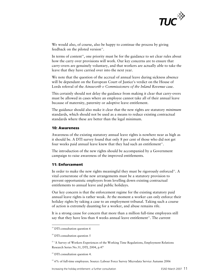

We would also, of course, also be happy to continue the process by giving feedback on the piloted version<sup>[19](#page-10-0)</sup>.

In terms of content<sup>[20](#page-10-1)</sup>, one priority must be for the guidance to set clear rules about how the carry over provisions will work. Our key concerns are to ensure that carry-overs are genuinely voluntary, and that workers are actually able to take the leave that they have carried over into the next year.

We note that the question of the accrual of annual leave during sickness absence will be dependant on the European Court of Justice's verdict on the House of Lords referral of the *Ainsworth v Commissioners of the Inland Revenue* case.

This certainly should not delay the guidance from making it clear that carry-overs must be allowed in cases where an employee cannot take all of their annual leave because of maternity, paternity or adoptive leave entitlement.

The guidance should also make it clear that the new rights are statutory *minimum*  standards, which should not be used as a means to reduce existing contractual standards where these are better than the legal minimum.

#### **10: Awareness**

Awareness of the existing statutory annual leave rights is nowhere near as high as it should be. A DTI survey found that only 8 per cent of those who did not get four weeks paid annual leave knew that they had such an entitlement<sup>[21](#page-10-2)</sup>.

The introduction of the new rights should be accompanied by a Government campaign to raise awareness of the improved entitlements.

#### **11: Enforcement**

In order to make the new rights meaningful they must be rigorously enforced<sup>[22](#page-10-3)</sup>. A vital cornerstone of the new arrangements must be a statutory provision to prevent opportunistic employers from levelling down existing contractual entitlements to annual leave and public holidays.

Our key concern is that the enforcement regime for the existing statutory paid annual leave rights is rather weak. At the moment a worker can only enforce their holiday rights by taking a case to an employment tribunal. Taking such a course of action is extremely daunting for a worker, and abuse remains rife.

It is a strong cause for concern that more than a million full-time employees still say that they have less than 4 weeks annual leave entitlement<sup>[23](#page-10-4)</sup>. The current

1

<span id="page-10-4"></span><sup>23</sup> 6% of full-time employees. Source: Labour Force Survey Microdata Service Autumn 2006

<span id="page-10-0"></span><sup>&</sup>lt;sup>19</sup> DTI consultation question 6

<span id="page-10-1"></span><sup>&</sup>lt;sup>20</sup> DTI consultation question 5

<span id="page-10-2"></span><sup>&</sup>lt;sup>21</sup> 'A Survey of Workers Experiences of the Working Time Regulations, Employment Relations Research Series No.31, DTI, 2004, p.47

<span id="page-10-3"></span><sup>&</sup>lt;sup>22</sup> DTI consultation question 4.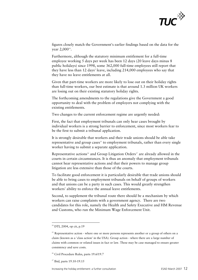

figures closely match the Government's earlier findings based on the data for th e year 2,000<sup>24</sup>.

Furthermore, although the statutory minimum entitlement for a full-time employee working 5 days per week has been 12 days (20 leave days minus 8 public holidays) since 1998, some 362,000 full-time employees still report that they have less than 12 days' leave, including 214,000 employees who say that they have no leave entitlements at all.

Given that part-time workers are more likely to lose out on their holiday rights than full-time workers, our best estimate is that around 1.3 million UK workers are losing out on their existing statutory holiday rights.

The forthcoming amendments to the regulations give the Government a good opportunity to deal with the problem of employers not complying with the existing entitlements.

Two changes to the current enforcement regime are urgently needed:

First, the fact that employment tribunals can only hear cases brought by individual workers is a strong barrier to enforcement, since most workers fear to be the first to submit a tribunal application.

It is strongly desirable that workers and their trade unions should be able take representative and group cases $25$  to employment tribunals, rather than every single worker having to submit a separate application.

Representative actions<sup>[26](#page-11-1)</sup> and Group Litigation Orders<sup>[27](#page-11-2)</sup> are already allowed in the courts in certain circumstances. It is thus an anomaly that employment tribunals cannot hear representative actions and that their powers to manage group litigation are less extensive than those of the courts.

To facilitate good enforcement it is particularly desirable that trade unions should be able to bring cases to employment tribunals on behalf of groups of workers and that unions can be a party in such cases. This would greatly strengthen workers' ability to enforce the annual leave entitlements.

Second, to supplement the tribunal route there should be a mechanism by which workers can raise complaints with a government agency. There are two candidates for this role, namely the Health and Safety Executive and HM Revenue and Customs, who run the Minimum Wage Enforcement Unit.

<u>.</u>

 $24$  DTI, 2004, op cit, p.19

<span id="page-11-0"></span> $25$  Representative action - where one or more persons represents another or a group of others on a claim (known as a 'class action' in the USA). Group action - where there are a large number of claims with common or related issues in fact or law. These may be case managed to ensure greater consistency and save costs.

<span id="page-11-1"></span><sup>&</sup>lt;sup>26</sup> Civil Procedure Rules, parts 19.6/19.7

<span id="page-11-2"></span><sup>&</sup>lt;sup>27</sup> Ibid, parts 19.10-19.15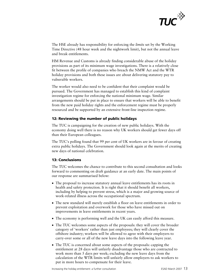

The HSE already has responsibility for enforcing the *limits* set by the Working Time Directive (48 hour week and the nightwork limit), but not the annual leave and break entitlements.

HM Revenue and Customs is already finding considerable abuse of the holiday provisions as part of its minimum wage investigations. There is a relatively close fit between the profile of companies who breach the NMW Act and the WTR holiday provisions and both these issues are about delivering statutory pay to vulnerable workers.

The worker would also need to be confident that their complaint would be pursued. The Government has managed to establish this kind of complaint investigation regime for enforcing the national minimum wage. Similar arrangements should be put in place to ensure that workers will be able to benefit from the new paid holiday rights and the enforcement regime must be properly resourced and be supported by an extensive front-line inspection regime.

## **12: Reviewing the number of public holidays**

The TUC is campaigning for the creation of new public holidays. With the economy doing well there is no reason why UK workers should get fewer days off than their European colleagues.

The TUC's polling found that 99 per cent of UK workers are in favour of creating extra public holidays. The Government should look again at the merits of creating new days of national celebration.

# **13: Conclusions**

The TUC welcomes the chance to contribute to this second consultation and looks forward to commenting on draft guidance at an early date. The main points of our response are summarised below:

- The proposal to increase statutory annual leave entitlements has its roots in health and safety protection. It is right that it should benefit all workers, including by helping to prevent stress, which is a major and growing source of work-related illness across the occupational spectrum.
- The new standard will merely establish a floor on leave entitlements in order to prevent exploitation and overwork for those who have missed out on improvements in leave entitlements in recent years.
- The economy is performing well and the UK can easily afford this measure.
- The TUC welcomes some aspects of the proposals: they will cover the broader category of 'workers' rather than just employees; they will clearly cover the offshore industry; workers will be allowed to agree with their employers to carry-over some or all of the new leave days into the following leave year.
- The TUC is concerned about some aspects of the proposals: capping the entitlement at 28 days will unfairly disadvantage those who are contracted to work more than 5 days per week; excluding the new leave days from the calculation of the WTR limits will unfairly allow employers to ask workers to put in more hours to compensate for their leave.